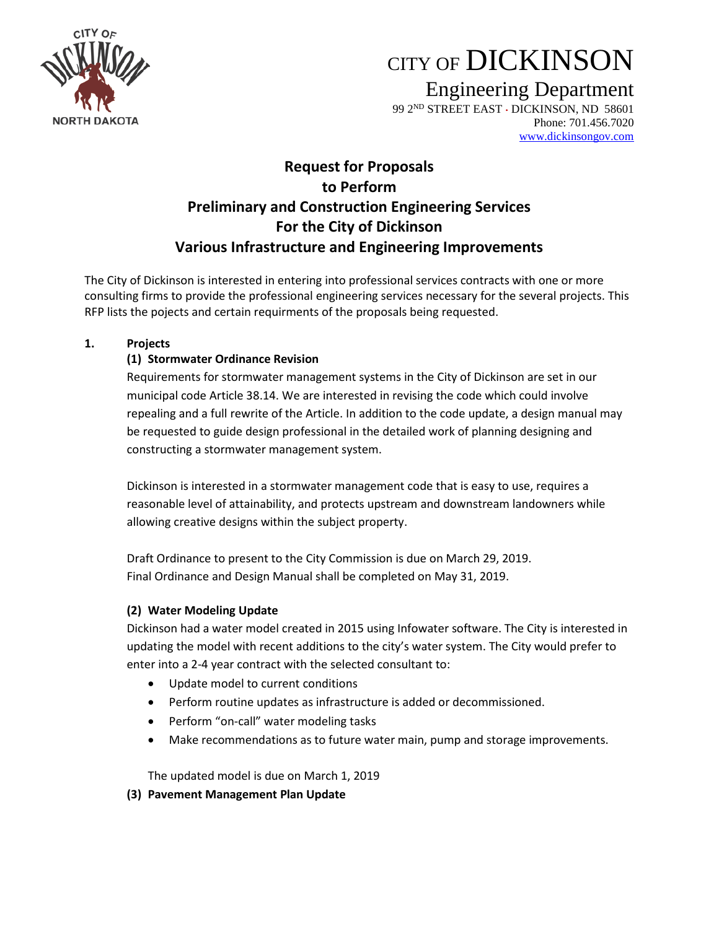

# CITY OF DICKINSON

Engineering Department

99 2<sup>ND</sup> STREET EAST · DICKINSON, ND 58601 Phone: 701.456.7020 [www.dickinsongov.com](http://www.dickinsongov.com/)

# **Request for Proposals to Perform Preliminary and Construction Engineering Services For the City of Dickinson Various Infrastructure and Engineering Improvements**

The City of Dickinson is interested in entering into professional services contracts with one or more consulting firms to provide the professional engineering services necessary for the several projects. This RFP lists the pojects and certain requirments of the proposals being requested.

#### **1. Projects**

# **(1) Stormwater Ordinance Revision**

Requirements for stormwater management systems in the City of Dickinson are set in our municipal code Article 38.14. We are interested in revising the code which could involve repealing and a full rewrite of the Article. In addition to the code update, a design manual may be requested to guide design professional in the detailed work of planning designing and constructing a stormwater management system.

Dickinson is interested in a stormwater management code that is easy to use, requires a reasonable level of attainability, and protects upstream and downstream landowners while allowing creative designs within the subject property.

Draft Ordinance to present to the City Commission is due on March 29, 2019. Final Ordinance and Design Manual shall be completed on May 31, 2019.

### **(2) Water Modeling Update**

Dickinson had a water model created in 2015 using Infowater software. The City is interested in updating the model with recent additions to the city's water system. The City would prefer to enter into a 2-4 year contract with the selected consultant to:

- Update model to current conditions
- Perform routine updates as infrastructure is added or decommissioned.
- Perform "on-call" water modeling tasks
- Make recommendations as to future water main, pump and storage improvements.

The updated model is due on March 1, 2019

### **(3) Pavement Management Plan Update**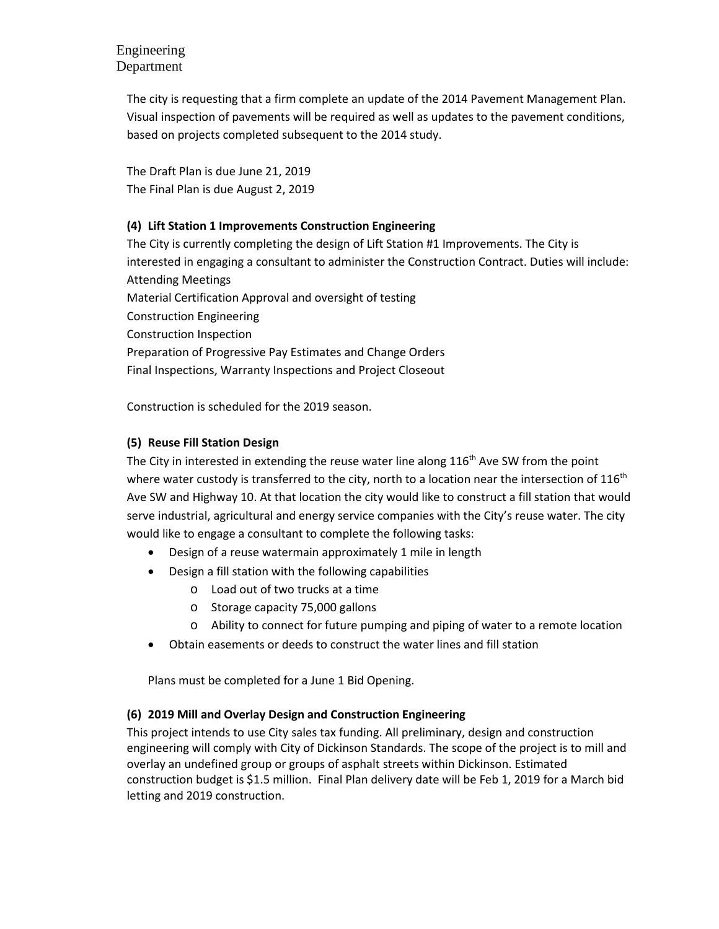# Engineering Department

The city is requesting that a firm complete an update of the 2014 Pavement Management Plan. Visual inspection of pavements will be required as well as updates to the pavement conditions, based on projects completed subsequent to the 2014 study.

The Draft Plan is due June 21, 2019 The Final Plan is due August 2, 2019

# **(4) Lift Station 1 Improvements Construction Engineering**

The City is currently completing the design of Lift Station #1 Improvements. The City is interested in engaging a consultant to administer the Construction Contract. Duties will include: Attending Meetings Material Certification Approval and oversight of testing Construction Engineering Construction Inspection Preparation of Progressive Pay Estimates and Change Orders Final Inspections, Warranty Inspections and Project Closeout

Construction is scheduled for the 2019 season.

### **(5) Reuse Fill Station Design**

The City in interested in extending the reuse water line along  $116<sup>th</sup>$  Ave SW from the point where water custody is transferred to the city, north to a location near the intersection of  $116<sup>th</sup>$ Ave SW and Highway 10. At that location the city would like to construct a fill station that would serve industrial, agricultural and energy service companies with the City's reuse water. The city would like to engage a consultant to complete the following tasks:

- Design of a reuse watermain approximately 1 mile in length
- Design a fill station with the following capabilities
	- o Load out of two trucks at a time
	- o Storage capacity 75,000 gallons
	- o Ability to connect for future pumping and piping of water to a remote location
- Obtain easements or deeds to construct the water lines and fill station

Plans must be completed for a June 1 Bid Opening.

### **(6) 2019 Mill and Overlay Design and Construction Engineering**

This project intends to use City sales tax funding. All preliminary, design and construction engineering will comply with City of Dickinson Standards. The scope of the project is to mill and overlay an undefined group or groups of asphalt streets within Dickinson. Estimated construction budget is \$1.5 million. Final Plan delivery date will be Feb 1, 2019 for a March bid letting and 2019 construction.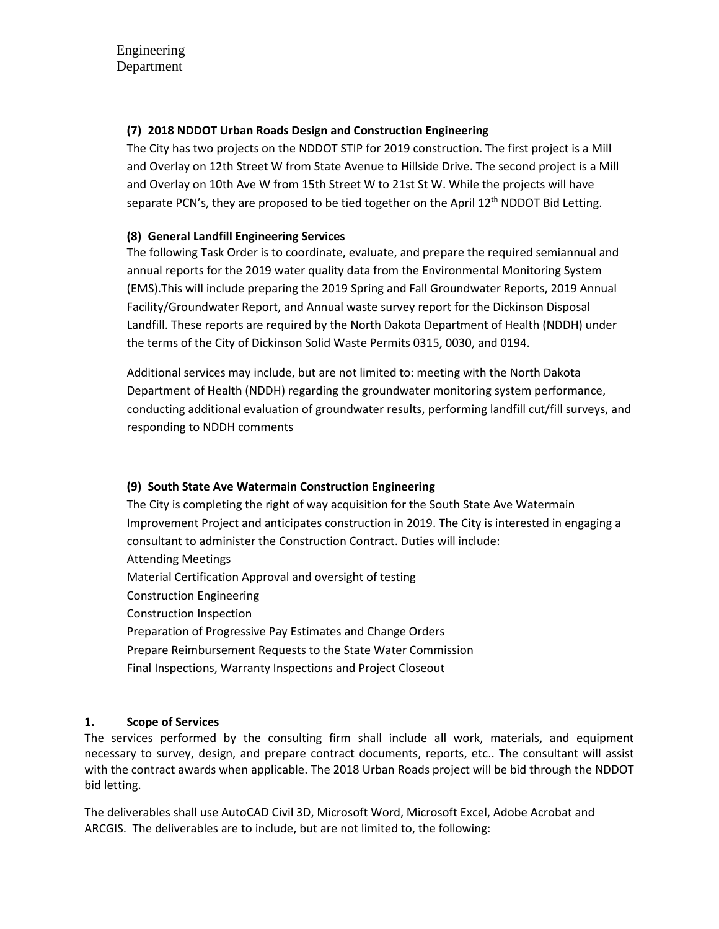### **(7) 2018 NDDOT Urban Roads Design and Construction Engineering**

The City has two projects on the NDDOT STIP for 2019 construction. The first project is a Mill and Overlay on 12th Street W from State Avenue to Hillside Drive. The second project is a Mill and Overlay on 10th Ave W from 15th Street W to 21st St W. While the projects will have separate PCN's, they are proposed to be tied together on the April 12<sup>th</sup> NDDOT Bid Letting.

### **(8) General Landfill Engineering Services**

The following Task Order is to coordinate, evaluate, and prepare the required semiannual and annual reports for the 2019 water quality data from the Environmental Monitoring System (EMS).This will include preparing the 2019 Spring and Fall Groundwater Reports, 2019 Annual Facility/Groundwater Report, and Annual waste survey report for the Dickinson Disposal Landfill. These reports are required by the North Dakota Department of Health (NDDH) under the terms of the City of Dickinson Solid Waste Permits 0315, 0030, and 0194.

Additional services may include, but are not limited to: meeting with the North Dakota Department of Health (NDDH) regarding the groundwater monitoring system performance, conducting additional evaluation of groundwater results, performing landfill cut/fill surveys, and responding to NDDH comments

### **(9) South State Ave Watermain Construction Engineering**

The City is completing the right of way acquisition for the South State Ave Watermain Improvement Project and anticipates construction in 2019. The City is interested in engaging a consultant to administer the Construction Contract. Duties will include: Attending Meetings Material Certification Approval and oversight of testing Construction Engineering Construction Inspection Preparation of Progressive Pay Estimates and Change Orders Prepare Reimbursement Requests to the State Water Commission Final Inspections, Warranty Inspections and Project Closeout

### **1. Scope of Services**

The services performed by the consulting firm shall include all work, materials, and equipment necessary to survey, design, and prepare contract documents, reports, etc.. The consultant will assist with the contract awards when applicable. The 2018 Urban Roads project will be bid through the NDDOT bid letting.

The deliverables shall use AutoCAD Civil 3D, Microsoft Word, Microsoft Excel, Adobe Acrobat and ARCGIS. The deliverables are to include, but are not limited to, the following: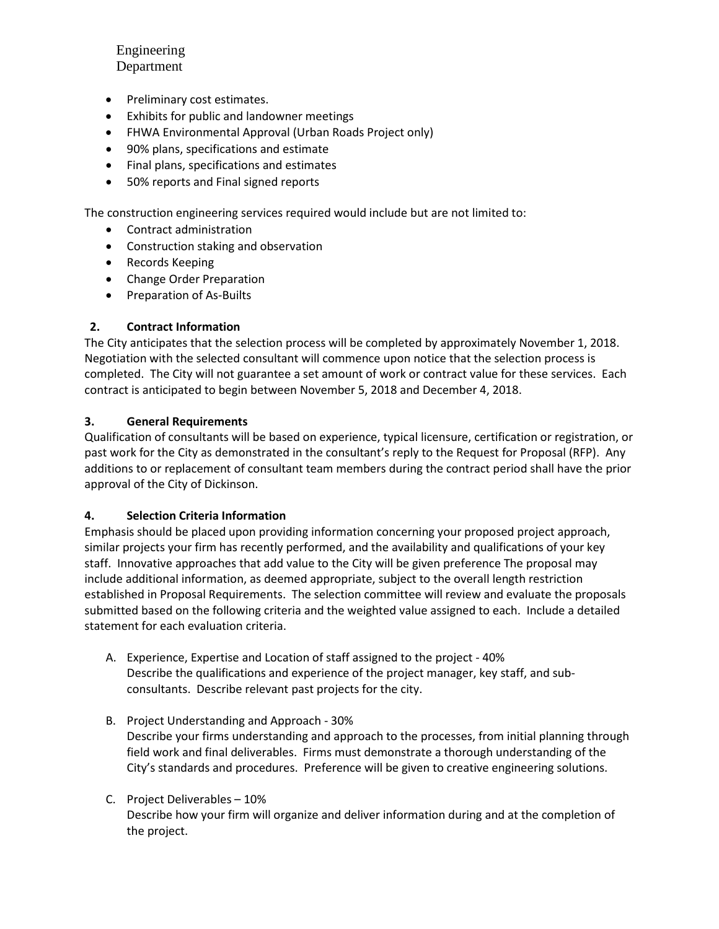Engineering Department

- Preliminary cost estimates.
- Exhibits for public and landowner meetings
- FHWA Environmental Approval (Urban Roads Project only)
- 90% plans, specifications and estimate
- Final plans, specifications and estimates
- 50% reports and Final signed reports

The construction engineering services required would include but are not limited to:

- Contract administration
- Construction staking and observation
- Records Keeping
- Change Order Preparation
- Preparation of As-Builts

#### **2. Contract Information**

The City anticipates that the selection process will be completed by approximately November 1, 2018. Negotiation with the selected consultant will commence upon notice that the selection process is completed. The City will not guarantee a set amount of work or contract value for these services. Each contract is anticipated to begin between November 5, 2018 and December 4, 2018.

#### **3. General Requirements**

Qualification of consultants will be based on experience, typical licensure, certification or registration, or past work for the City as demonstrated in the consultant's reply to the Request for Proposal (RFP). Any additions to or replacement of consultant team members during the contract period shall have the prior approval of the City of Dickinson.

#### **4. Selection Criteria Information**

Emphasis should be placed upon providing information concerning your proposed project approach, similar projects your firm has recently performed, and the availability and qualifications of your key staff. Innovative approaches that add value to the City will be given preference The proposal may include additional information, as deemed appropriate, subject to the overall length restriction established in Proposal Requirements. The selection committee will review and evaluate the proposals submitted based on the following criteria and the weighted value assigned to each. Include a detailed statement for each evaluation criteria.

- A. Experience, Expertise and Location of staff assigned to the project 40% Describe the qualifications and experience of the project manager, key staff, and subconsultants. Describe relevant past projects for the city.
- B. Project Understanding and Approach 30% Describe your firms understanding and approach to the processes, from initial planning through field work and final deliverables. Firms must demonstrate a thorough understanding of the City's standards and procedures. Preference will be given to creative engineering solutions.
- C. Project Deliverables 10% Describe how your firm will organize and deliver information during and at the completion of the project.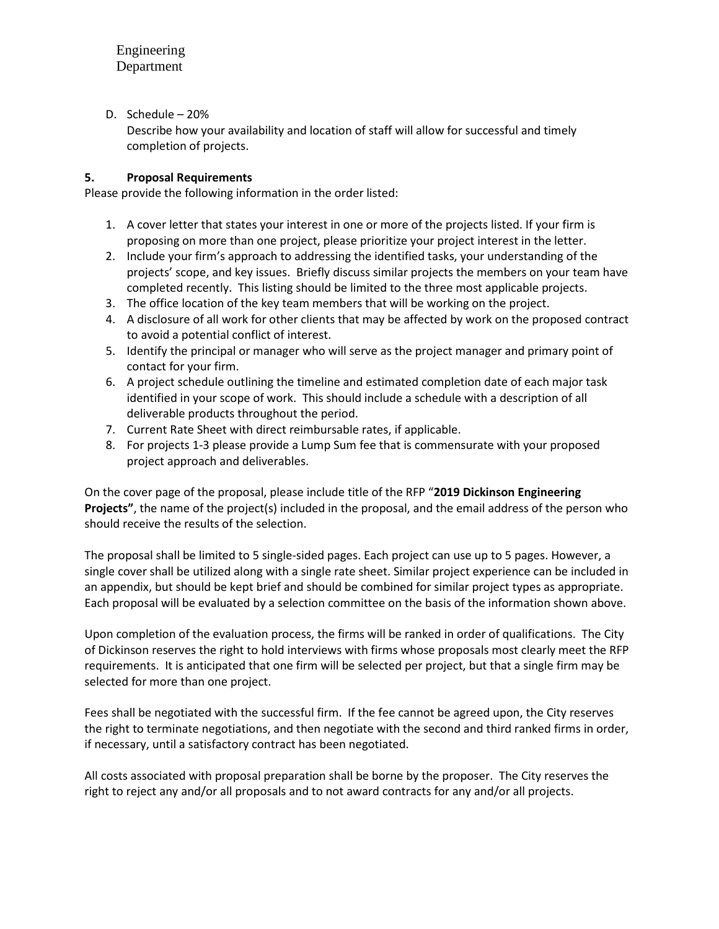D. Schedule – 20%

Describe how your availability and location of staff will allow for successful and timely completion of projects.

#### **5. Proposal Requirements**

Please provide the following information in the order listed:

- 1. A cover letter that states your interest in one or more of the projects listed. If your firm is proposing on more than one project, please prioritize your project interest in the letter.
- 2. Include your firm's approach to addressing the identified tasks, your understanding of the projects' scope, and key issues. Briefly discuss similar projects the members on your team have completed recently. This listing should be limited to the three most applicable projects.
- 3. The office location of the key team members that will be working on the project.
- 4. A disclosure of all work for other clients that may be affected by work on the proposed contract to avoid a potential conflict of interest.
- 5. Identify the principal or manager who will serve as the project manager and primary point of contact for your firm.
- 6. A project schedule outlining the timeline and estimated completion date of each major task identified in your scope of work. This should include a schedule with a description of all deliverable products throughout the period.
- 7. Current Rate Sheet with direct reimbursable rates, if applicable.
- 8. For projects 1-3 please provide a Lump Sum fee that is commensurate with your proposed project approach and deliverables.

On the cover page of the proposal, please include title of the RFP "**2019 Dickinson Engineering Projects"**, the name of the project(s) included in the proposal, and the email address of the person who should receive the results of the selection.

The proposal shall be limited to 5 single-sided pages. Each project can use up to 5 pages. However, a single cover shall be utilized along with a single rate sheet. Similar project experience can be included in an appendix, but should be kept brief and should be combined for similar project types as appropriate. Each proposal will be evaluated by a selection committee on the basis of the information shown above.

Upon completion of the evaluation process, the firms will be ranked in order of qualifications. The City of Dickinson reserves the right to hold interviews with firms whose proposals most clearly meet the RFP requirements. It is anticipated that one firm will be selected per project, but that a single firm may be selected for more than one project.

Fees shall be negotiated with the successful firm. If the fee cannot be agreed upon, the City reserves the right to terminate negotiations, and then negotiate with the second and third ranked firms in order, if necessary, until a satisfactory contract has been negotiated.

All costs associated with proposal preparation shall be borne by the proposer. The City reserves the right to reject any and/or all proposals and to not award contracts for any and/or all projects.